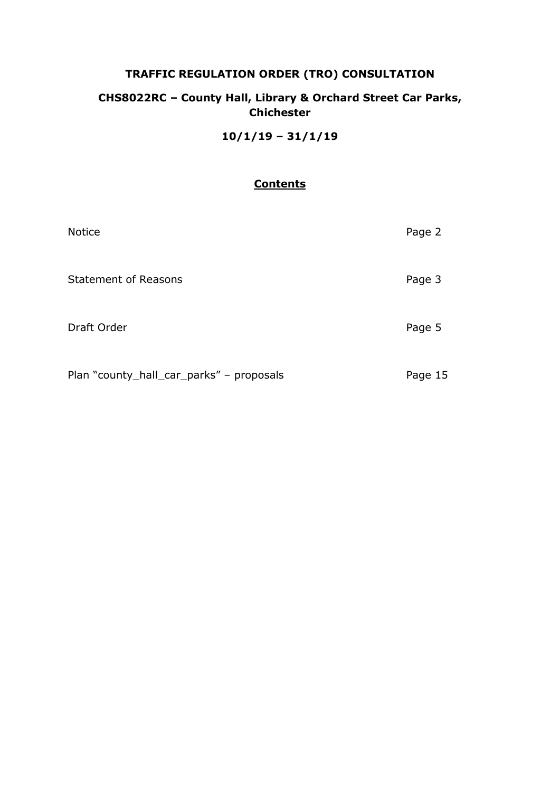# **TRAFFIC REGULATION ORDER (TRO) CONSULTATION**

# **CHS8022RC – County Hall, Library & Orchard Street Car Parks, Chichester**

**10/1/19 – 31/1/19**

# **Contents**

| <b>Notice</b>                            | Page 2  |
|------------------------------------------|---------|
| <b>Statement of Reasons</b>              | Page 3  |
| Draft Order                              | Page 5  |
| Plan "county_hall_car_parks" - proposals | Page 15 |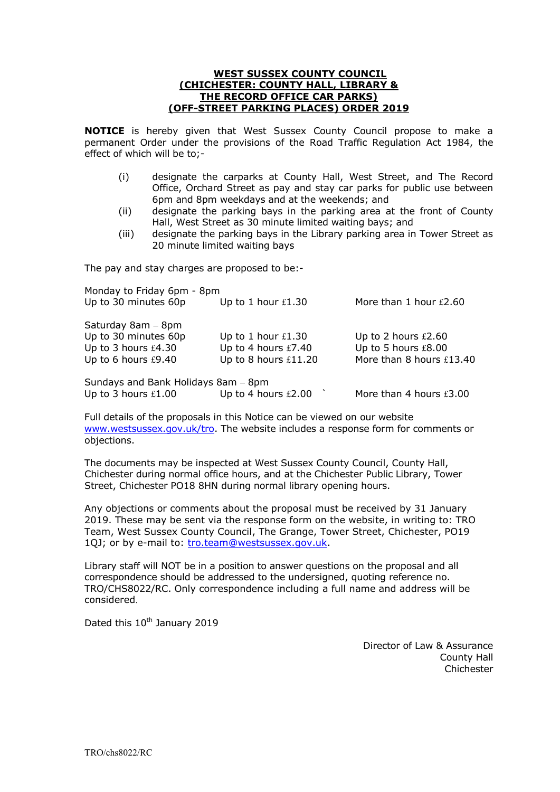#### **WEST SUSSEX COUNTY COUNCIL (CHICHESTER: COUNTY HALL, LIBRARY & THE RECORD OFFICE CAR PARKS) (OFF-STREET PARKING PLACES) ORDER 2019**

**NOTICE** is hereby given that West Sussex County Council propose to make a permanent Order under the provisions of the Road Traffic Regulation Act 1984, the effect of which will be to;-

- (i) designate the carparks at County Hall, West Street, and The Record Office, Orchard Street as pay and stay car parks for public use between 6pm and 8pm weekdays and at the weekends; and
- (ii) designate the parking bays in the parking area at the front of County Hall, West Street as 30 minute limited waiting bays; and
- (iii) designate the parking bays in the Library parking area in Tower Street as 20 minute limited waiting bays

The pay and stay charges are proposed to be:-

| Monday to Friday 6pm - 8pm          |                       |                          |  |  |  |  |  |
|-------------------------------------|-----------------------|--------------------------|--|--|--|--|--|
| Up to 30 minutes 60p                | Up to 1 hour $£1.30$  | More than 1 hour £2.60   |  |  |  |  |  |
| Saturday 8am - 8pm                  |                       |                          |  |  |  |  |  |
| Up to 30 minutes 60p                | Up to 1 hour $£1.30$  | Up to 2 hours $£2.60$    |  |  |  |  |  |
| Up to 3 hours £4.30                 | Up to 4 hours £7.40   | Up to 5 hours £8.00      |  |  |  |  |  |
| Up to 6 hours £9.40                 | Up to 8 hours £11.20  | More than 8 hours £13.40 |  |  |  |  |  |
| Sundays and Bank Holidays 8am - 8pm |                       |                          |  |  |  |  |  |
| Up to 3 hours $£1.00$               | Up to 4 hours $£2.00$ | More than 4 hours £3.00  |  |  |  |  |  |

Full details of the proposals in this Notice can be viewed on our website [www.westsussex.gov.uk/tro.](http://www.westsussex.gov.uk/tro) The website includes a response form for comments or objections.

The documents may be inspected at West Sussex County Council, County Hall, Chichester during normal office hours, and at the Chichester Public Library, Tower Street, Chichester PO18 8HN during normal library opening hours.

Any objections or comments about the proposal must be received by 31 January 2019. These may be sent via the response form on the website, in writing to: TRO Team, West Sussex County Council, The Grange, Tower Street, Chichester, PO19 1QJ; or by e-mail to: [tro.team@westsussex.gov.uk.](mailto:tro.team@westsussex.gov.uk)

Library staff will NOT be in a position to answer questions on the proposal and all correspondence should be addressed to the undersigned, quoting reference no. TRO/CHS8022/RC. Only correspondence including a full name and address will be considered.

Dated this 10<sup>th</sup> January 2019

Director of Law & Assurance County Hall Chichester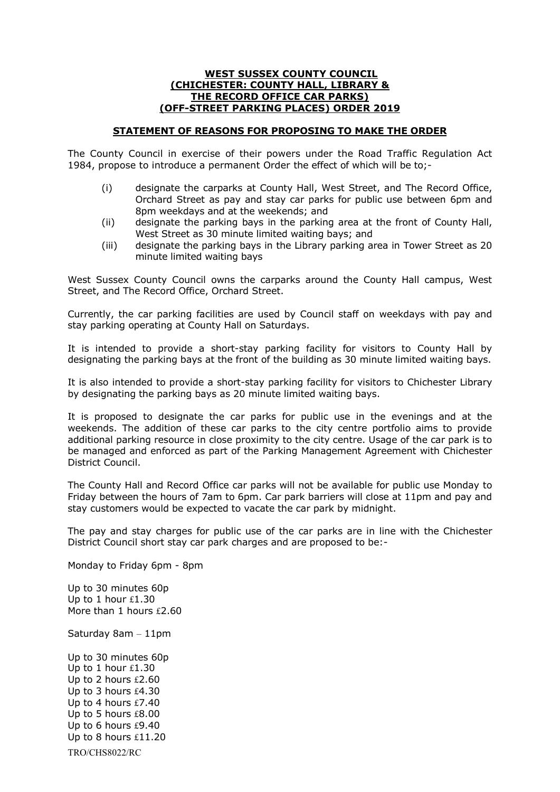#### **WEST SUSSEX COUNTY COUNCIL (CHICHESTER: COUNTY HALL, LIBRARY & THE RECORD OFFICE CAR PARKS) (OFF-STREET PARKING PLACES) ORDER 2019**

## **STATEMENT OF REASONS FOR PROPOSING TO MAKE THE ORDER**

The County Council in exercise of their powers under the Road Traffic Regulation Act 1984, propose to introduce a permanent Order the effect of which will be to;-

- (i) designate the carparks at County Hall, West Street, and The Record Office, Orchard Street as pay and stay car parks for public use between 6pm and 8pm weekdays and at the weekends; and
- (ii) designate the parking bays in the parking area at the front of County Hall, West Street as 30 minute limited waiting bays; and
- (iii) designate the parking bays in the Library parking area in Tower Street as 20 minute limited waiting bays

West Sussex County Council owns the carparks around the County Hall campus, West Street, and The Record Office, Orchard Street.

Currently, the car parking facilities are used by Council staff on weekdays with pay and stay parking operating at County Hall on Saturdays.

It is intended to provide a short-stay parking facility for visitors to County Hall by designating the parking bays at the front of the building as 30 minute limited waiting bays.

It is also intended to provide a short-stay parking facility for visitors to Chichester Library by designating the parking bays as 20 minute limited waiting bays.

It is proposed to designate the car parks for public use in the evenings and at the weekends. The addition of these car parks to the city centre portfolio aims to provide additional parking resource in close proximity to the city centre. Usage of the car park is to be managed and enforced as part of the Parking Management Agreement with Chichester District Council.

The County Hall and Record Office car parks will not be available for public use Monday to Friday between the hours of 7am to 6pm. Car park barriers will close at 11pm and pay and stay customers would be expected to vacate the car park by midnight.

The pay and stay charges for public use of the car parks are in line with the Chichester District Council short stay car park charges and are proposed to be:-

Monday to Friday 6pm - 8pm

Up to 30 minutes 60p Up to 1 hour £1.30 More than 1 hours £2.60

Saturday 8am – 11pm

TRO/CHS8022/RC Up to 30 minutes 60p Up to 1 hour £1.30 Up to 2 hours £2.60 Up to 3 hours £4.30 Up to 4 hours £7.40 Up to 5 hours £8.00 Up to 6 hours £9.40 Up to 8 hours £11.20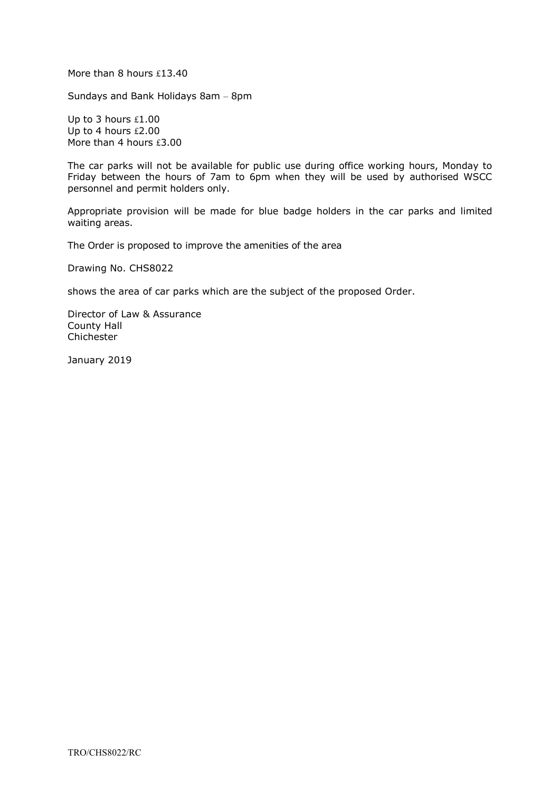More than 8 hours £13.40

Sundays and Bank Holidays 8am – 8pm

Up to 3 hours £1.00 Up to 4 hours £2.00 More than 4 hours £3.00

The car parks will not be available for public use during office working hours, Monday to Friday between the hours of 7am to 6pm when they will be used by authorised WSCC personnel and permit holders only.

Appropriate provision will be made for blue badge holders in the car parks and limited waiting areas.

The Order is proposed to improve the amenities of the area

Drawing No. CHS8022

shows the area of car parks which are the subject of the proposed Order.

Director of Law & Assurance County Hall Chichester

January 2019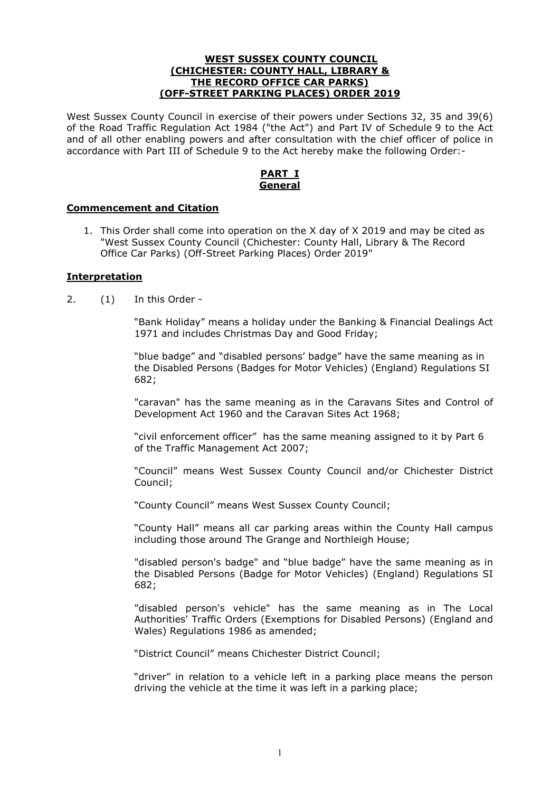#### **WEST SUSSEX COUNTY COUNCIL (CHICHESTER: COUNTY HALL, LIBRARY & THE RECORD OFFICE CAR PARKS) (OFF-STREET PARKING PLACES) ORDER 2019**

West Sussex County Council in exercise of their powers under Sections 32, 35 and 39(6) of the Road Traffic Regulation Act 1984 ("the Act") and Part IV of Schedule 9 to the Act and of all other enabling powers and after consultation with the chief officer of police in accordance with Part III of Schedule 9 to the Act hereby make the following Order:-

# **PART I General**

## **Commencement and Citation**

1. This Order shall come into operation on the X day of X 2019 and may be cited as "West Sussex County Council (Chichester: County Hall, Library & The Record Office Car Parks) (Off-Street Parking Places) Order 2019"

#### **Interpretation**

2. (1) In this Order -

 "Bank Holiday" means a holiday under the Banking & Financial Dealings Act 1971 and includes Christmas Day and Good Friday;

"blue badge" and "disabled persons' badge" have the same meaning as in the Disabled Persons (Badges for Motor Vehicles) (England) Regulations SI 682;

 "caravan" has the same meaning as in the Caravans Sites and Control of Development Act 1960 and the Caravan Sites Act 1968;

"civil enforcement officer" has the same meaning assigned to it by Part 6 of the Traffic Management Act 2007;

"Council" means West Sussex County Council and/or Chichester District Council;

"County Council" means West Sussex County Council;

"County Hall" means all car parking areas within the County Hall campus including those around The Grange and Northleigh House;

 "disabled person's badge" and "blue badge" have the same meaning as in the Disabled Persons (Badge for Motor Vehicles) (England) Regulations SI 682;

 "disabled person's vehicle" has the same meaning as in The Local Authorities' Traffic Orders (Exemptions for Disabled Persons) (England and Wales) Regulations 1986 as amended;

"District Council" means Chichester District Council;

"driver" in relation to a vehicle left in a parking place means the person driving the vehicle at the time it was left in a parking place;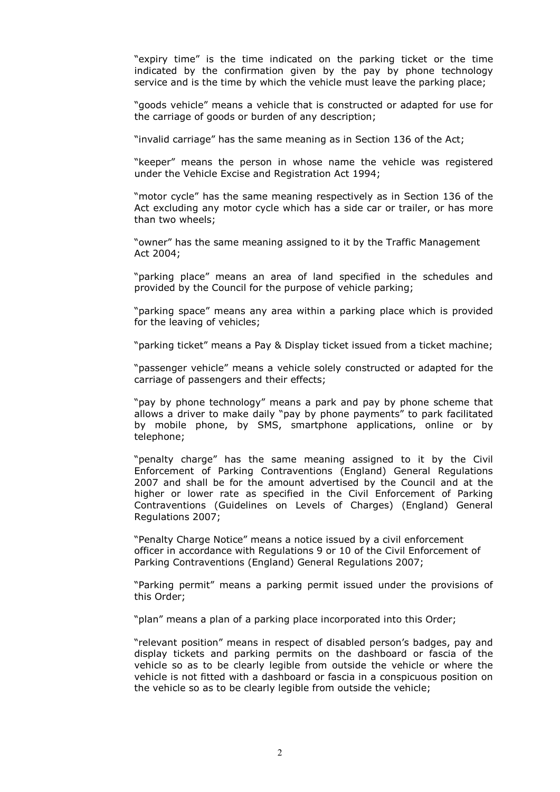"expiry time" is the time indicated on the parking ticket or the time indicated by the confirmation given by the pay by phone technology service and is the time by which the vehicle must leave the parking place;

 "goods vehicle" means a vehicle that is constructed or adapted for use for the carriage of goods or burden of any description;

"invalid carriage" has the same meaning as in Section 136 of the Act;

"keeper" means the person in whose name the vehicle was registered under the Vehicle Excise and Registration Act 1994;

 "motor cycle" has the same meaning respectively as in Section 136 of the Act excluding any motor cycle which has a side car or trailer, or has more than two wheels;

"owner" has the same meaning assigned to it by the Traffic Management Act 2004;

 "parking place" means an area of land specified in the schedules and provided by the Council for the purpose of vehicle parking;

"parking space" means any area within a parking place which is provided for the leaving of vehicles;

"parking ticket" means a Pay & Display ticket issued from a ticket machine;

 "passenger vehicle" means a vehicle solely constructed or adapted for the carriage of passengers and their effects;

 "pay by phone technology" means a park and pay by phone scheme that allows a driver to make daily "pay by phone payments" to park facilitated by mobile phone, by SMS, smartphone applications, online or by telephone;

"penalty charge" has the same meaning assigned to it by the Civil Enforcement of Parking Contraventions (England) General Regulations 2007 and shall be for the amount advertised by the Council and at the higher or lower rate as specified in the Civil Enforcement of Parking Contraventions (Guidelines on Levels of Charges) (England) General Regulations 2007;

"Penalty Charge Notice" means a notice issued by a civil enforcement officer in accordance with Regulations 9 or 10 of the Civil Enforcement of Parking Contraventions (England) General Regulations 2007;

 "Parking permit" means a parking permit issued under the provisions of this Order;

"plan" means a plan of a parking place incorporated into this Order;

 "relevant position" means in respect of disabled person's badges, pay and display tickets and parking permits on the dashboard or fascia of the vehicle so as to be clearly legible from outside the vehicle or where the vehicle is not fitted with a dashboard or fascia in a conspicuous position on the vehicle so as to be clearly legible from outside the vehicle;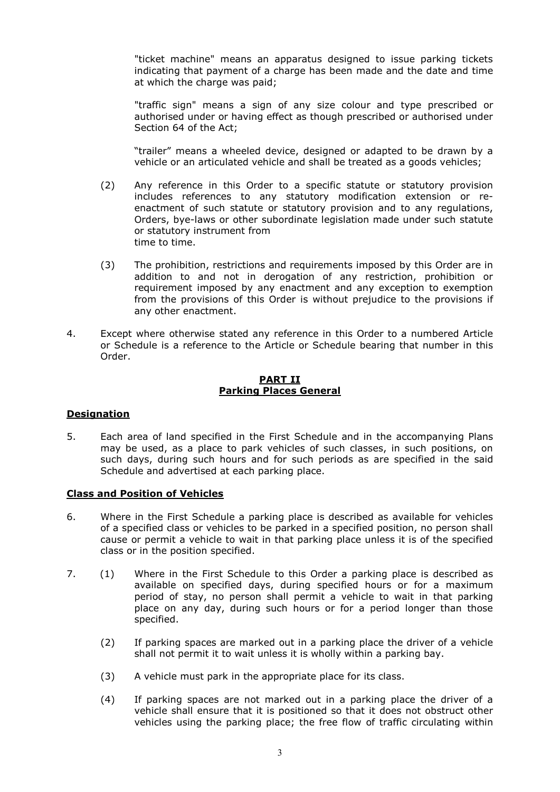"ticket machine" means an apparatus designed to issue parking tickets indicating that payment of a charge has been made and the date and time at which the charge was paid;

"traffic sign" means a sign of any size colour and type prescribed or authorised under or having effect as though prescribed or authorised under Section 64 of the Act;

 "trailer" means a wheeled device, designed or adapted to be drawn by a vehicle or an articulated vehicle and shall be treated as a goods vehicles;

- (2) Any reference in this Order to a specific statute or statutory provision includes references to any statutory modification extension or reenactment of such statute or statutory provision and to any regulations, Orders, bye-laws or other subordinate legislation made under such statute or statutory instrument from time to time.
- (3) The prohibition, restrictions and requirements imposed by this Order are in addition to and not in derogation of any restriction, prohibition or requirement imposed by any enactment and any exception to exemption from the provisions of this Order is without prejudice to the provisions if any other enactment.
- 4. Except where otherwise stated any reference in this Order to a numbered Article or Schedule is a reference to the Article or Schedule bearing that number in this Order.

## **PART II Parking Places General**

## **Designation**

5. Each area of land specified in the First Schedule and in the accompanying Plans may be used, as a place to park vehicles of such classes, in such positions, on such days, during such hours and for such periods as are specified in the said Schedule and advertised at each parking place.

## **Class and Position of Vehicles**

- 6. Where in the First Schedule a parking place is described as available for vehicles of a specified class or vehicles to be parked in a specified position, no person shall cause or permit a vehicle to wait in that parking place unless it is of the specified class or in the position specified.
- 7. (1) Where in the First Schedule to this Order a parking place is described as available on specified days, during specified hours or for a maximum period of stay, no person shall permit a vehicle to wait in that parking place on any day, during such hours or for a period longer than those specified.
	- (2) If parking spaces are marked out in a parking place the driver of a vehicle shall not permit it to wait unless it is wholly within a parking bay.
	- (3) A vehicle must park in the appropriate place for its class.
	- (4) If parking spaces are not marked out in a parking place the driver of a vehicle shall ensure that it is positioned so that it does not obstruct other vehicles using the parking place; the free flow of traffic circulating within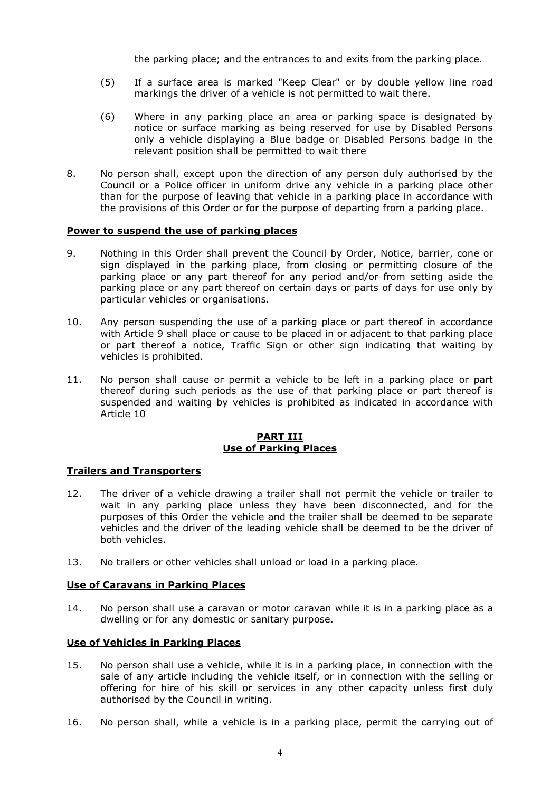the parking place; and the entrances to and exits from the parking place.

- (5) If a surface area is marked "Keep Clear" or by double yellow line road markings the driver of a vehicle is not permitted to wait there.
- (6) Where in any parking place an area or parking space is designated by notice or surface marking as being reserved for use by Disabled Persons only a vehicle displaying a Blue badge or Disabled Persons badge in the relevant position shall be permitted to wait there
- 8. No person shall, except upon the direction of any person duly authorised by the Council or a Police officer in uniform drive any vehicle in a parking place other than for the purpose of leaving that vehicle in a parking place in accordance with the provisions of this Order or for the purpose of departing from a parking place.

#### **Power to suspend the use of parking places**

- 9. Nothing in this Order shall prevent the Council by Order, Notice, barrier, cone or sign displayed in the parking place, from closing or permitting closure of the parking place or any part thereof for any period and/or from setting aside the parking place or any part thereof on certain days or parts of days for use only by particular vehicles or organisations.
- 10. Any person suspending the use of a parking place or part thereof in accordance with Article 9 shall place or cause to be placed in or adjacent to that parking place or part thereof a notice, Traffic Sign or other sign indicating that waiting by vehicles is prohibited.
- 11. No person shall cause or permit a vehicle to be left in a parking place or part thereof during such periods as the use of that parking place or part thereof is suspended and waiting by vehicles is prohibited as indicated in accordance with Article 10

#### **PART III Use of Parking Places**

## **Trailers and Transporters**

- 12. The driver of a vehicle drawing a trailer shall not permit the vehicle or trailer to wait in any parking place unless they have been disconnected, and for the purposes of this Order the vehicle and the trailer shall be deemed to be separate vehicles and the driver of the leading vehicle shall be deemed to be the driver of both vehicles.
- 13. No trailers or other vehicles shall unload or load in a parking place.

## **Use of Caravans in Parking Places**

14. No person shall use a caravan or motor caravan while it is in a parking place as a dwelling or for any domestic or sanitary purpose.

# **Use of Vehicles in Parking Places**

- 15. No person shall use a vehicle, while it is in a parking place, in connection with the sale of any article including the vehicle itself, or in connection with the selling or offering for hire of his skill or services in any other capacity unless first duly authorised by the Council in writing.
- 16. No person shall, while a vehicle is in a parking place, permit the carrying out of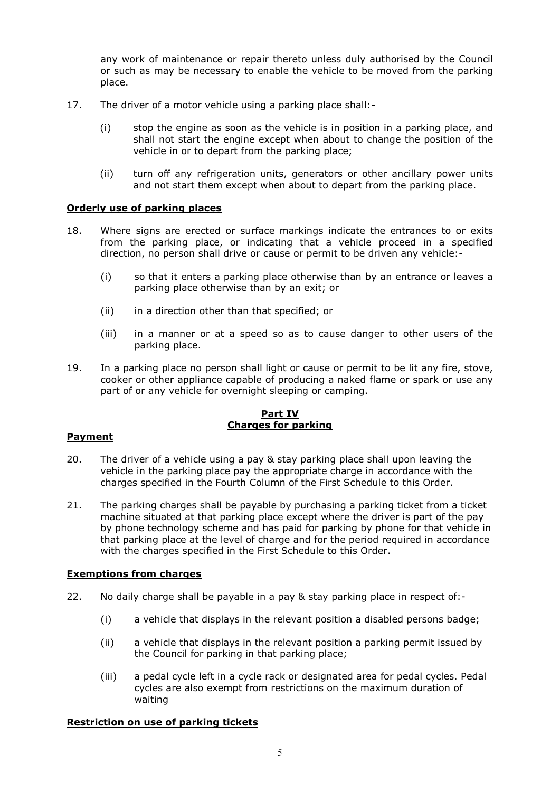any work of maintenance or repair thereto unless duly authorised by the Council or such as may be necessary to enable the vehicle to be moved from the parking place.

- 17. The driver of a motor vehicle using a parking place shall:-
	- (i) stop the engine as soon as the vehicle is in position in a parking place, and shall not start the engine except when about to change the position of the vehicle in or to depart from the parking place;
	- (ii) turn off any refrigeration units, generators or other ancillary power units and not start them except when about to depart from the parking place.

## **Orderly use of parking places**

- 18. Where signs are erected or surface markings indicate the entrances to or exits from the parking place, or indicating that a vehicle proceed in a specified direction, no person shall drive or cause or permit to be driven any vehicle:-
	- (i) so that it enters a parking place otherwise than by an entrance or leaves a parking place otherwise than by an exit; or
	- (ii) in a direction other than that specified; or
	- (iii) in a manner or at a speed so as to cause danger to other users of the parking place.
- 19. In a parking place no person shall light or cause or permit to be lit any fire, stove, cooker or other appliance capable of producing a naked flame or spark or use any part of or any vehicle for overnight sleeping or camping.

#### **Part IV Charges for parking**

## **Payment**

- 20. The driver of a vehicle using a pay & stay parking place shall upon leaving the vehicle in the parking place pay the appropriate charge in accordance with the charges specified in the Fourth Column of the First Schedule to this Order.
- 21. The parking charges shall be payable by purchasing a parking ticket from a ticket machine situated at that parking place except where the driver is part of the pay by phone technology scheme and has paid for parking by phone for that vehicle in that parking place at the level of charge and for the period required in accordance with the charges specified in the First Schedule to this Order.

## **Exemptions from charges**

- 22. No daily charge shall be payable in a pay & stay parking place in respect of:-
	- (i) a vehicle that displays in the relevant position a disabled persons badge;
	- (ii) a vehicle that displays in the relevant position a parking permit issued by the Council for parking in that parking place;
	- (iii) a pedal cycle left in a cycle rack or designated area for pedal cycles. Pedal cycles are also exempt from restrictions on the maximum duration of waiting

## **Restriction on use of parking tickets**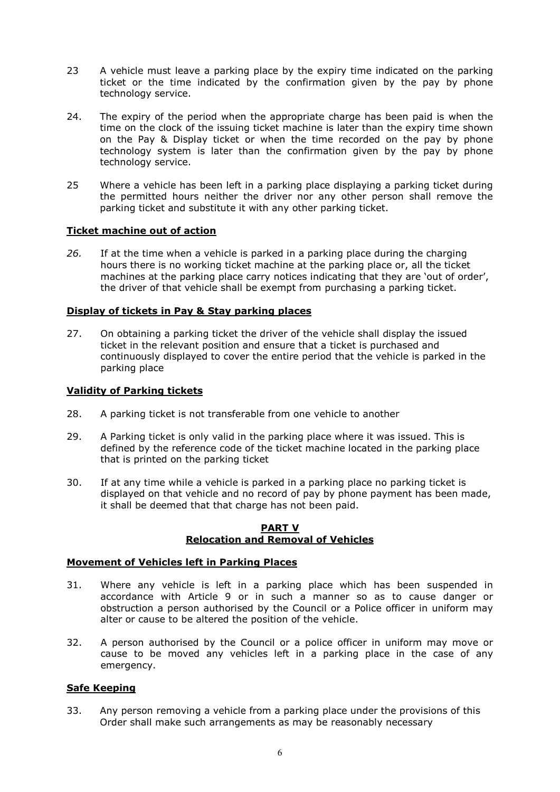- 23 A vehicle must leave a parking place by the expiry time indicated on the parking ticket or the time indicated by the confirmation given by the pay by phone technology service.
- 24. The expiry of the period when the appropriate charge has been paid is when the time on the clock of the issuing ticket machine is later than the expiry time shown on the Pay & Display ticket or when the time recorded on the pay by phone technology system is later than the confirmation given by the pay by phone technology service.
- 25 Where a vehicle has been left in a parking place displaying a parking ticket during the permitted hours neither the driver nor any other person shall remove the parking ticket and substitute it with any other parking ticket.

## **Ticket machine out of action**

*26.* If at the time when a vehicle is parked in a parking place during the charging hours there is no working ticket machine at the parking place or, all the ticket machines at the parking place carry notices indicating that they are 'out of order', the driver of that vehicle shall be exempt from purchasing a parking ticket.

# **Display of tickets in Pay & Stay parking places**

27. On obtaining a parking ticket the driver of the vehicle shall display the issued ticket in the relevant position and ensure that a ticket is purchased and continuously displayed to cover the entire period that the vehicle is parked in the parking place

# **Validity of Parking tickets**

- 28. A parking ticket is not transferable from one vehicle to another
- 29. A Parking ticket is only valid in the parking place where it was issued. This is defined by the reference code of the ticket machine located in the parking place that is printed on the parking ticket
- 30. If at any time while a vehicle is parked in a parking place no parking ticket is displayed on that vehicle and no record of pay by phone payment has been made, it shall be deemed that that charge has not been paid.

#### **PART V Relocation and Removal of Vehicles**

## **Movement of Vehicles left in Parking Places**

- 31. Where any vehicle is left in a parking place which has been suspended in accordance with Article 9 or in such a manner so as to cause danger or obstruction a person authorised by the Council or a Police officer in uniform may alter or cause to be altered the position of the vehicle.
- 32. A person authorised by the Council or a police officer in uniform may move or cause to be moved any vehicles left in a parking place in the case of any emergency.

## **Safe Keeping**

33. Any person removing a vehicle from a parking place under the provisions of this Order shall make such arrangements as may be reasonably necessary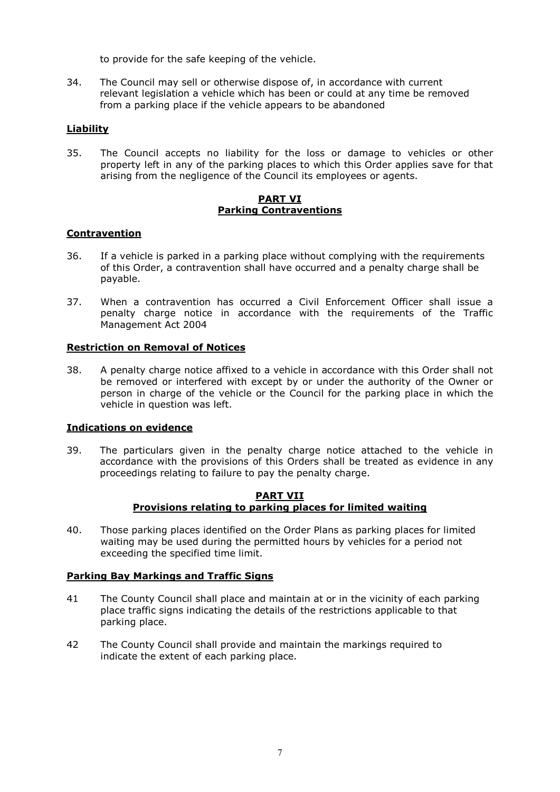to provide for the safe keeping of the vehicle.

34. The Council may sell or otherwise dispose of, in accordance with current relevant legislation a vehicle which has been or could at any time be removed from a parking place if the vehicle appears to be abandoned

# **Liability**

35. The Council accepts no liability for the loss or damage to vehicles or other property left in any of the parking places to which this Order applies save for that arising from the negligence of the Council its employees or agents.

#### **PART VI Parking Contraventions**

## **Contravention**

- 36. If a vehicle is parked in a parking place without complying with the requirements of this Order, a contravention shall have occurred and a penalty charge shall be payable.
- 37. When a contravention has occurred a Civil Enforcement Officer shall issue a penalty charge notice in accordance with the requirements of the Traffic Management Act 2004

# **Restriction on Removal of Notices**

38. A penalty charge notice affixed to a vehicle in accordance with this Order shall not be removed or interfered with except by or under the authority of the Owner or person in charge of the vehicle or the Council for the parking place in which the vehicle in question was left.

## **Indications on evidence**

39. The particulars given in the penalty charge notice attached to the vehicle in accordance with the provisions of this Orders shall be treated as evidence in any proceedings relating to failure to pay the penalty charge.

#### **PART VII Provisions relating to parking places for limited waiting**

40. Those parking places identified on the Order Plans as parking places for limited waiting may be used during the permitted hours by vehicles for a period not exceeding the specified time limit.

## **Parking Bay Markings and Traffic Signs**

- 41 The County Council shall place and maintain at or in the vicinity of each parking place traffic signs indicating the details of the restrictions applicable to that parking place.
- 42 The County Council shall provide and maintain the markings required to indicate the extent of each parking place.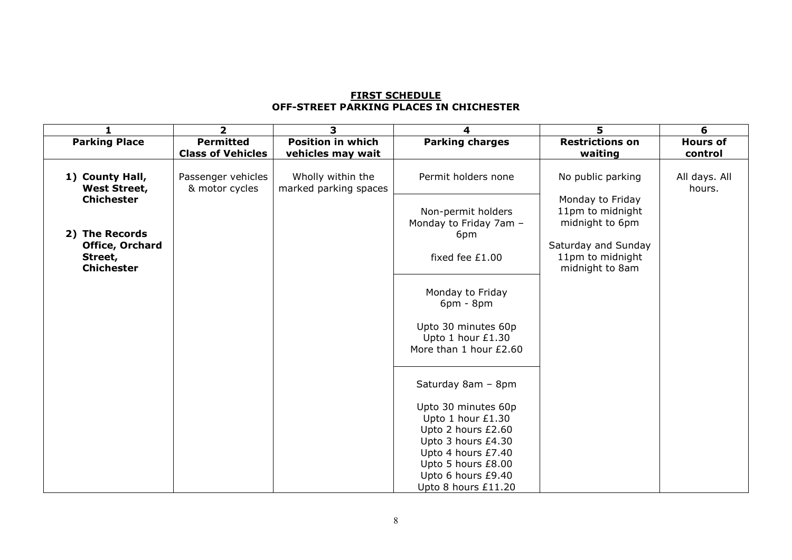# **FIRST SCHEDULE OFF-STREET PARKING PLACES IN CHICHESTER**

|                                                        | $\overline{2}$                               | 3                                             | 4                                                                                    | 5                                                          | 6                          |
|--------------------------------------------------------|----------------------------------------------|-----------------------------------------------|--------------------------------------------------------------------------------------|------------------------------------------------------------|----------------------------|
| <b>Parking Place</b>                                   | <b>Permitted</b><br><b>Class of Vehicles</b> | <b>Position in which</b><br>vehicles may wait | <b>Parking charges</b>                                                               | <b>Restrictions on</b><br>waiting                          | <b>Hours of</b><br>control |
| 1) County Hall,<br><b>West Street,</b>                 | Passenger vehicles<br>& motor cycles         | Wholly within the<br>marked parking spaces    | Permit holders none                                                                  | No public parking                                          | All days. All<br>hours.    |
| <b>Chichester</b><br>2) The Records                    |                                              |                                               | Non-permit holders<br>Monday to Friday 7am -<br>6pm                                  | Monday to Friday<br>11pm to midnight<br>midnight to 6pm    |                            |
| <b>Office, Orchard</b><br>Street,<br><b>Chichester</b> |                                              |                                               | fixed fee £1.00                                                                      | Saturday and Sunday<br>11pm to midnight<br>midnight to 8am |                            |
|                                                        |                                              |                                               | Monday to Friday<br>$6pm - 8pm$                                                      |                                                            |                            |
|                                                        |                                              |                                               | Upto 30 minutes 60p<br>Upto 1 hour £1.30<br>More than 1 hour £2.60                   |                                                            |                            |
|                                                        |                                              |                                               | Saturday 8am - 8pm                                                                   |                                                            |                            |
|                                                        |                                              |                                               | Upto 30 minutes 60p<br>Upto 1 hour £1.30<br>Upto 2 hours £2.60                       |                                                            |                            |
|                                                        |                                              |                                               | Upto 3 hours £4.30<br>Upto 4 hours £7.40<br>Upto 5 hours £8.00<br>Upto 6 hours £9.40 |                                                            |                            |
|                                                        |                                              |                                               | Upto 8 hours £11.20                                                                  |                                                            |                            |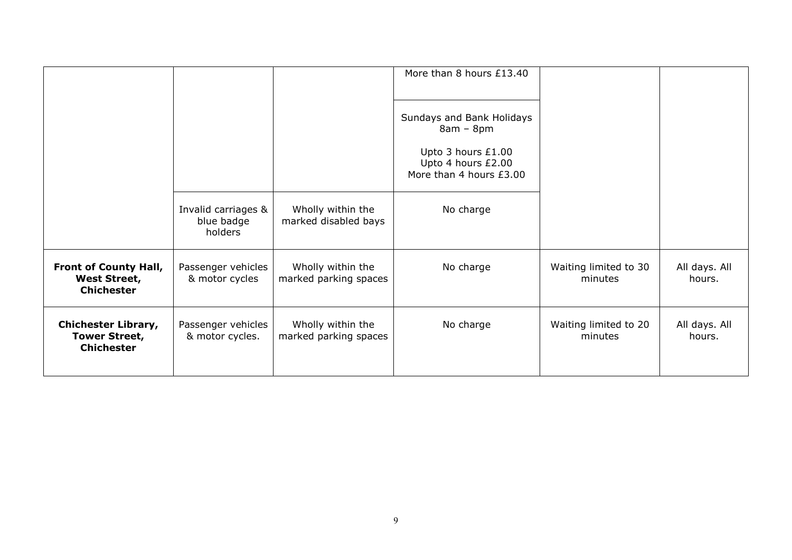|                                                                          |                                              |                                            | More than 8 hours £13.40                                                                                        |                                  |                         |
|--------------------------------------------------------------------------|----------------------------------------------|--------------------------------------------|-----------------------------------------------------------------------------------------------------------------|----------------------------------|-------------------------|
|                                                                          |                                              |                                            | Sundays and Bank Holidays<br>$8am - 8pm$<br>Upto 3 hours £1.00<br>Upto 4 hours £2.00<br>More than 4 hours £3.00 |                                  |                         |
|                                                                          | Invalid carriages &<br>blue badge<br>holders | Wholly within the<br>marked disabled bays  | No charge                                                                                                       |                                  |                         |
| <b>Front of County Hall,</b><br><b>West Street,</b><br><b>Chichester</b> | Passenger vehicles<br>& motor cycles         | Wholly within the<br>marked parking spaces | No charge                                                                                                       | Waiting limited to 30<br>minutes | All days. All<br>hours. |
| <b>Chichester Library,</b><br><b>Tower Street,</b><br><b>Chichester</b>  | Passenger vehicles<br>& motor cycles.        | Wholly within the<br>marked parking spaces | No charge                                                                                                       | Waiting limited to 20<br>minutes | All days. All<br>hours. |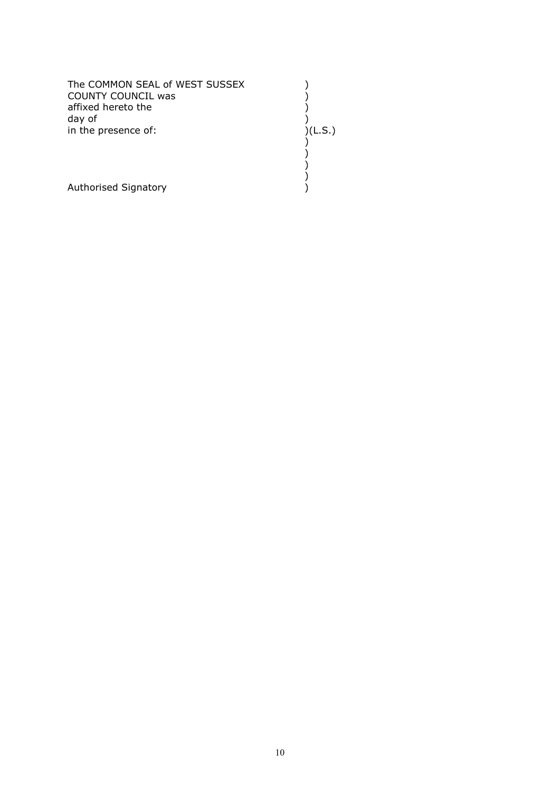